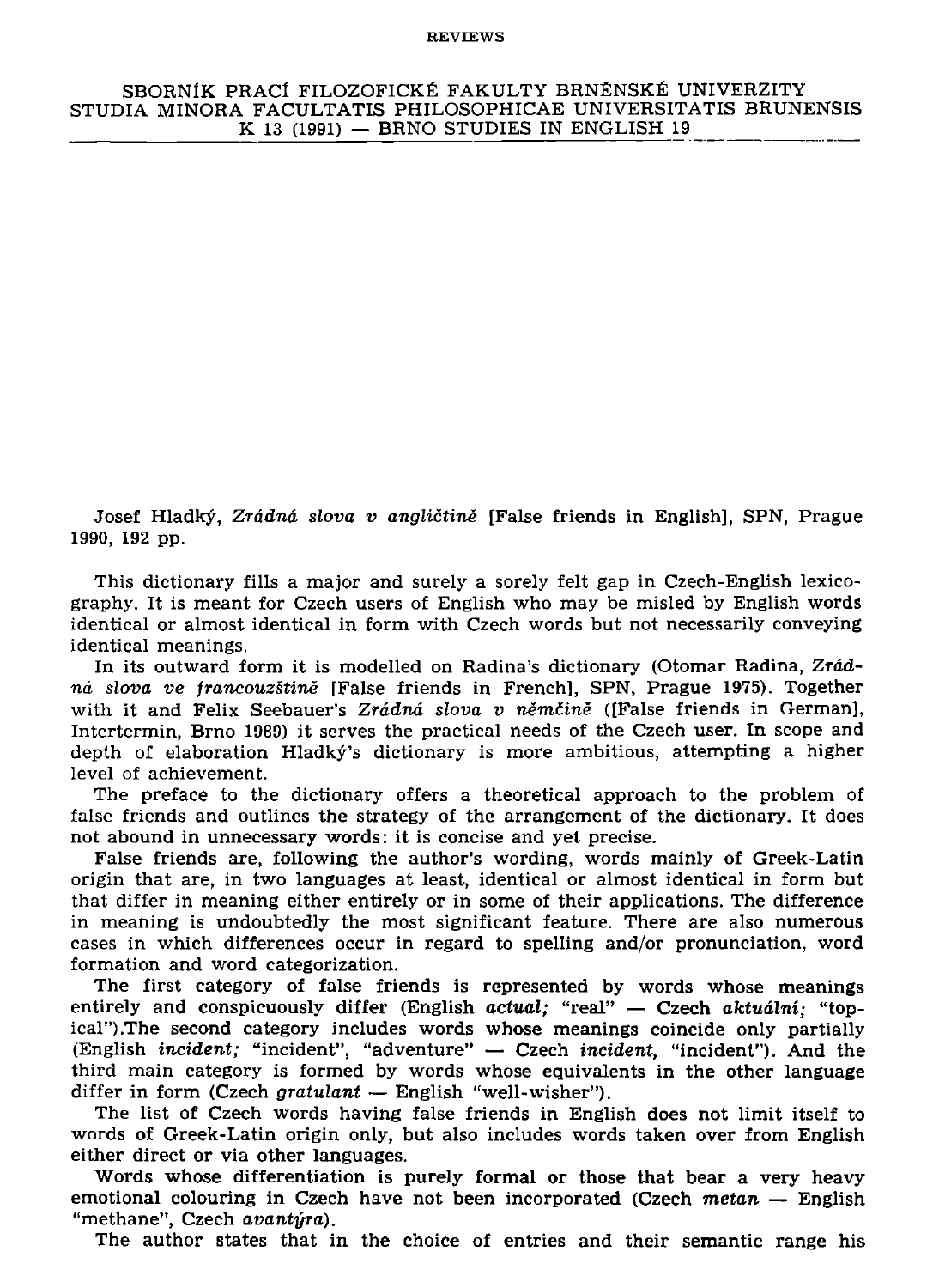## **REVIEWS**

**SBORNIK PRACf FILOZOFICKE FAKULT Y BRNENSKE UNIVERZITY STUDIA MINORA FACULTATIS PHILOSOPHICAE UNIVERSITATIS BRUNENSIS K 13 (1991) — BRNO STUDIES IN ENGLISH 19** 

**Josef Hladky,** *Zrddnd slova v anglictine* **[False friends in English], SPN, Prague 1990, 192 pp.** 

**This dictionary fills a major and surely a sorely felt gap in Czech-English lexicography. It is meant for Czech users of English who may be misled by English words identical or almost identical in form with Czech words but not necessarily conveying identical meanings.** 

In its outward form it is modelled on Radina's dictionary (Otomar Radina, Zrád**nd** *slova ve francouzstine* **[False friends in French], SPN, Prague 1975). Together with it and Felix Seebauer's** *Zrddnd slova v nemtine* **([False friends in German], Intertermin, Brno 1989) it serves the practical needs of the Czech user. In scope and depth of elaboration Hladky's dictionary is more ambitious, attempting a higher level of achievement.** 

**The preface to the dictionary offers a theoretical approach to the problem of false friends and outlines the strategy of the arrangement of the dictionary. It does not abound in unnecessary words: it is concise and yet precise.** 

**False friends are, following the author's wording, words mainly of Greek-Latin origin that are, in two languages at least, identical or almost identical in form but that differ in meaning either entirely or in some of their applications. The difference in meaning is undoubtedly the most significant feature. There are also numerous cases in which differences occur in regard to spelling and/or pronunciation, word formation and word categorization.** 

**The first category of false friends is represented by words whose meanings entirely and conspicuously differ (English actual; "real" — Czech** *aktualni;* **"topical") .The second category includes words whose meanings coincide only partially (English** *incident;* **"incident", "adventure" — Czech** *incident,* **"incident"). And the third main category is formed by words whose equivalents in the other language differ in form (Czech** *gratulant* **— English "well-wisher").** 

**The list of Czech words having false friends in English does not limit itself to words of Greek-Latin origin only, but also includes words taken over from English either direct or via other languages.** 

**Words whose differentiation is purely formal or those that bear a very heavy emotional colouring in Czech have not been incorporated (Czech** *metan* **— English "methane", Czech** *avantyra).* 

**The author states that in the choice of entries and their semantic range his**